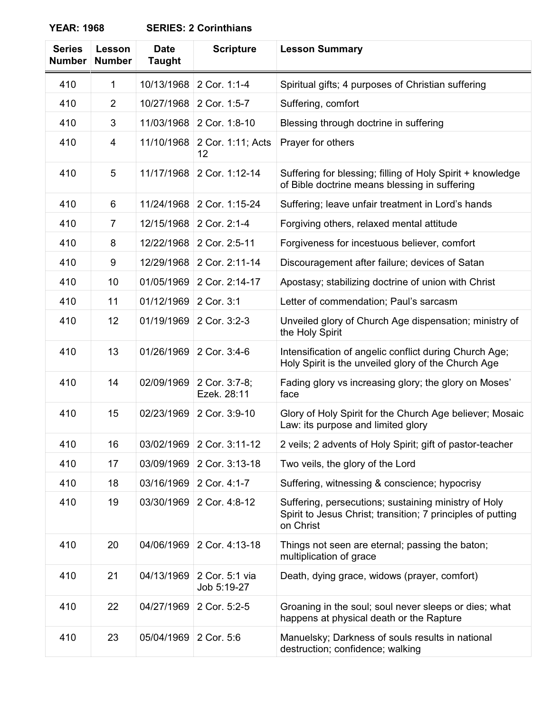| <b>YEAR: 1968</b> |  |
|-------------------|--|
|-------------------|--|

**SERIES: 2 Corinthians** 

| <b>Series</b><br><b>Number</b> | Lesson<br><b>Number</b> | <b>Date</b><br><b>Taught</b> | <b>Scripture</b>              | <b>Lesson Summary</b>                                                                                                            |
|--------------------------------|-------------------------|------------------------------|-------------------------------|----------------------------------------------------------------------------------------------------------------------------------|
| 410                            | 1                       | 10/13/1968                   | 2 Cor. 1:1-4                  | Spiritual gifts; 4 purposes of Christian suffering                                                                               |
| 410                            | 2                       | 10/27/1968                   | 2 Cor. 1:5-7                  | Suffering, comfort                                                                                                               |
| 410                            | 3                       | 11/03/1968                   | 2 Cor. 1:8-10                 | Blessing through doctrine in suffering                                                                                           |
| 410                            | 4                       | 11/10/1968                   | 2 Cor. 1:11; Acts<br>12       | Prayer for others                                                                                                                |
| 410                            | 5                       | 11/17/1968                   | 2 Cor. 1:12-14                | Suffering for blessing; filling of Holy Spirit + knowledge<br>of Bible doctrine means blessing in suffering                      |
| 410                            | 6                       | 11/24/1968                   | 2 Cor. 1:15-24                | Suffering; leave unfair treatment in Lord's hands                                                                                |
| 410                            | 7                       | 12/15/1968                   | 2 Cor. 2:1-4                  | Forgiving others, relaxed mental attitude                                                                                        |
| 410                            | 8                       | 12/22/1968                   | 2 Cor. 2:5-11                 | Forgiveness for incestuous believer, comfort                                                                                     |
| 410                            | 9                       | 12/29/1968                   | 2 Cor. 2:11-14                | Discouragement after failure; devices of Satan                                                                                   |
| 410                            | 10                      | 01/05/1969                   | 2 Cor. 2:14-17                | Apostasy; stabilizing doctrine of union with Christ                                                                              |
| 410                            | 11                      | 01/12/1969                   | 2 Cor. 3:1                    | Letter of commendation; Paul's sarcasm                                                                                           |
| 410                            | 12                      | 01/19/1969                   | 2 Cor. 3:2-3                  | Unveiled glory of Church Age dispensation; ministry of<br>the Holy Spirit                                                        |
| 410                            | 13                      | 01/26/1969                   | 2 Cor. 3:4-6                  | Intensification of angelic conflict during Church Age;<br>Holy Spirit is the unveiled glory of the Church Age                    |
| 410                            | 14                      | 02/09/1969                   | 2 Cor. 3:7-8;<br>Ezek. 28:11  | Fading glory vs increasing glory; the glory on Moses'<br>face                                                                    |
| 410                            | 15                      | 02/23/1969                   | 2 Cor. 3:9-10                 | Glory of Holy Spirit for the Church Age believer; Mosaic<br>Law: its purpose and limited glory                                   |
| 410                            | 16                      | 03/02/1969                   | 2 Cor. 3:11-12                | 2 veils; 2 advents of Holy Spirit; gift of pastor-teacher                                                                        |
| 410                            | 17                      | 03/09/1969                   | 2 Cor. 3:13-18                | Two veils, the glory of the Lord                                                                                                 |
| 410                            | 18                      | 03/16/1969                   | 2 Cor. 4:1-7                  | Suffering, witnessing & conscience; hypocrisy                                                                                    |
| 410                            | 19                      | 03/30/1969                   | 2 Cor. 4:8-12                 | Suffering, persecutions; sustaining ministry of Holy<br>Spirit to Jesus Christ; transition; 7 principles of putting<br>on Christ |
| 410                            | 20                      | 04/06/1969                   | 2 Cor. 4:13-18                | Things not seen are eternal; passing the baton;<br>multiplication of grace                                                       |
| 410                            | 21                      | 04/13/1969                   | 2 Cor. 5:1 via<br>Job 5:19-27 | Death, dying grace, widows (prayer, comfort)                                                                                     |
| 410                            | 22                      | 04/27/1969                   | 2 Cor. 5:2-5                  | Groaning in the soul; soul never sleeps or dies; what<br>happens at physical death or the Rapture                                |
| 410                            | 23                      | 05/04/1969                   | 2 Cor. 5:6                    | Manuelsky; Darkness of souls results in national<br>destruction; confidence; walking                                             |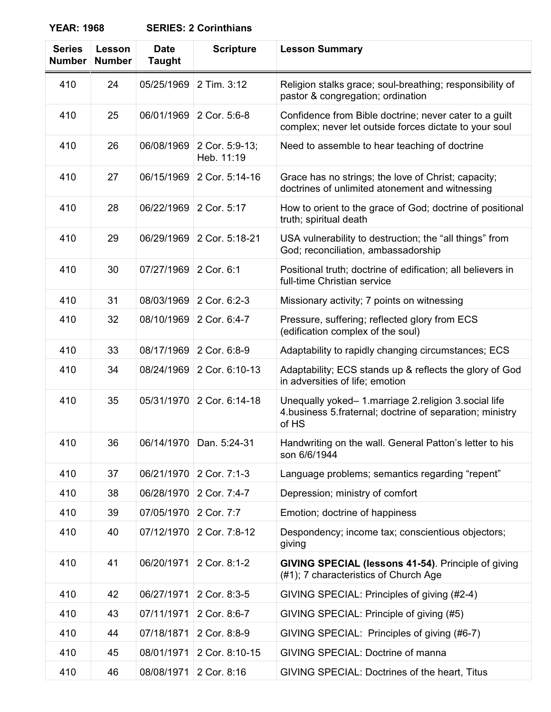**YEAR: 1968 SERIES: 2 Corinthians**

| <b>Series</b><br><b>Number</b> | Lesson<br><b>Number</b> | <b>Date</b><br><b>Taught</b> | <b>Scripture</b>             | <b>Lesson Summary</b>                                                                                                      |
|--------------------------------|-------------------------|------------------------------|------------------------------|----------------------------------------------------------------------------------------------------------------------------|
| 410                            | 24                      | 05/25/1969                   | 2 Tim. 3:12                  | Religion stalks grace; soul-breathing; responsibility of<br>pastor & congregation; ordination                              |
| 410                            | 25                      | 06/01/1969                   | 2 Cor. 5:6-8                 | Confidence from Bible doctrine; never cater to a guilt<br>complex; never let outside forces dictate to your soul           |
| 410                            | 26                      | 06/08/1969                   | 2 Cor. 5:9-13;<br>Heb. 11:19 | Need to assemble to hear teaching of doctrine                                                                              |
| 410                            | 27                      | 06/15/1969                   | 2 Cor. 5:14-16               | Grace has no strings; the love of Christ; capacity;<br>doctrines of unlimited atonement and witnessing                     |
| 410                            | 28                      | 06/22/1969                   | 2 Cor. 5:17                  | How to orient to the grace of God; doctrine of positional<br>truth; spiritual death                                        |
| 410                            | 29                      | 06/29/1969                   | 2 Cor. 5:18-21               | USA vulnerability to destruction; the "all things" from<br>God; reconciliation, ambassadorship                             |
| 410                            | 30                      | 07/27/1969                   | 2 Cor. 6:1                   | Positional truth; doctrine of edification; all believers in<br>full-time Christian service                                 |
| 410                            | 31                      | 08/03/1969                   | 2 Cor. 6:2-3                 | Missionary activity; 7 points on witnessing                                                                                |
| 410                            | 32                      | 08/10/1969                   | 2 Cor. 6:4-7                 | Pressure, suffering; reflected glory from ECS<br>(edification complex of the soul)                                         |
| 410                            | 33                      | 08/17/1969                   | 2 Cor. 6:8-9                 | Adaptability to rapidly changing circumstances; ECS                                                                        |
| 410                            | 34                      | 08/24/1969                   | 2 Cor. 6:10-13               | Adaptability; ECS stands up & reflects the glory of God<br>in adversities of life; emotion                                 |
| 410                            | 35                      | 05/31/1970                   | 2 Cor. 6:14-18               | Unequally yoked-1.marriage 2.religion 3.social life<br>4. business 5. fraternal; doctrine of separation; ministry<br>of HS |
| 410                            | 36                      |                              | 06/14/1970   Dan. 5:24-31    | Handwriting on the wall. General Patton's letter to his<br>son 6/6/1944                                                    |
| 410                            | 37                      | 06/21/1970                   | 2 Cor. 7:1-3                 | Language problems; semantics regarding "repent"                                                                            |
| 410                            | 38                      | 06/28/1970                   | 2 Cor. 7:4-7                 | Depression; ministry of comfort                                                                                            |
| 410                            | 39                      | 07/05/1970                   | 2 Cor. 7:7                   | Emotion; doctrine of happiness                                                                                             |
| 410                            | 40                      | 07/12/1970                   | 2 Cor. 7:8-12                | Despondency; income tax; conscientious objectors;<br>giving                                                                |
| 410                            | 41                      | 06/20/1971                   | 2 Cor. 8:1-2                 | GIVING SPECIAL (lessons 41-54). Principle of giving<br>(#1); 7 characteristics of Church Age                               |
| 410                            | 42                      | 06/27/1971                   | 2 Cor. 8:3-5                 | GIVING SPECIAL: Principles of giving (#2-4)                                                                                |
| 410                            | 43                      | 07/11/1971                   | 2 Cor. 8:6-7                 | GIVING SPECIAL: Principle of giving (#5)                                                                                   |
| 410                            | 44                      | 07/18/1871                   | 2 Cor. 8:8-9                 | GIVING SPECIAL: Principles of giving (#6-7)                                                                                |
| 410                            | 45                      | 08/01/1971                   | 2 Cor. 8:10-15               | <b>GIVING SPECIAL: Doctrine of manna</b>                                                                                   |
| 410                            | 46                      | 08/08/1971                   | 2 Cor. 8:16                  | GIVING SPECIAL: Doctrines of the heart, Titus                                                                              |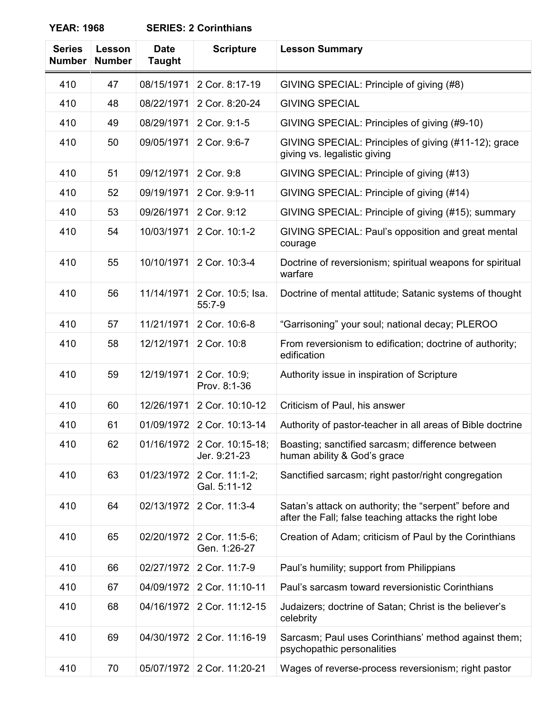**YEAR: 1968 SERIES: 2 Corinthians**

| <b>Series</b><br><b>Number</b> | Lesson<br><b>Number</b> | <b>Date</b><br><b>Taught</b> | <b>Scripture</b>                 | <b>Lesson Summary</b>                                                                                          |
|--------------------------------|-------------------------|------------------------------|----------------------------------|----------------------------------------------------------------------------------------------------------------|
| 410                            | 47                      | 08/15/1971                   | 2 Cor. 8:17-19                   | GIVING SPECIAL: Principle of giving (#8)                                                                       |
| 410                            | 48                      | 08/22/1971                   | 2 Cor. 8:20-24                   | <b>GIVING SPECIAL</b>                                                                                          |
| 410                            | 49                      | 08/29/1971                   | 2 Cor. 9:1-5                     | GIVING SPECIAL: Principles of giving (#9-10)                                                                   |
| 410                            | 50                      | 09/05/1971                   | 2 Cor. 9:6-7                     | GIVING SPECIAL: Principles of giving (#11-12); grace<br>giving vs. legalistic giving                           |
| 410                            | 51                      | 09/12/1971                   | 2 Cor. 9:8                       | GIVING SPECIAL: Principle of giving (#13)                                                                      |
| 410                            | 52                      | 09/19/1971                   | 2 Cor. 9:9-11                    | GIVING SPECIAL: Principle of giving (#14)                                                                      |
| 410                            | 53                      | 09/26/1971                   | 2 Cor. 9:12                      | GIVING SPECIAL: Principle of giving (#15); summary                                                             |
| 410                            | 54                      | 10/03/1971                   | 2 Cor. 10:1-2                    | GIVING SPECIAL: Paul's opposition and great mental<br>courage                                                  |
| 410                            | 55                      | 10/10/1971                   | 2 Cor. 10:3-4                    | Doctrine of reversionism; spiritual weapons for spiritual<br>warfare                                           |
| 410                            | 56                      | 11/14/1971                   | 2 Cor. 10:5; Isa.<br>$55:7-9$    | Doctrine of mental attitude; Satanic systems of thought                                                        |
| 410                            | 57                      | 11/21/1971                   | 2 Cor. 10:6-8                    | "Garrisoning" your soul; national decay; PLEROO                                                                |
| 410                            | 58                      | 12/12/1971                   | 2 Cor. 10:8                      | From reversionism to edification; doctrine of authority;<br>edification                                        |
| 410                            | 59                      | 12/19/1971                   | 2 Cor. 10:9;<br>Prov. 8:1-36     | Authority issue in inspiration of Scripture                                                                    |
| 410                            | 60                      | 12/26/1971                   | 2 Cor. 10:10-12                  | Criticism of Paul, his answer                                                                                  |
| 410                            | 61                      | 01/09/1972                   | 2 Cor. 10:13-14                  | Authority of pastor-teacher in all areas of Bible doctrine                                                     |
| 410                            | 62                      | 01/16/1972                   | 2 Cor. 10:15-18;<br>Jer. 9:21-23 | Boasting; sanctified sarcasm; difference between<br>human ability & God's grace                                |
| 410                            | 63                      | 01/23/1972                   | 2 Cor. 11:1-2;<br>Gal. 5:11-12   | Sanctified sarcasm; right pastor/right congregation                                                            |
| 410                            | 64                      | 02/13/1972                   | 2 Cor. 11:3-4                    | Satan's attack on authority; the "serpent" before and<br>after the Fall; false teaching attacks the right lobe |
| 410                            | 65                      | 02/20/1972                   | 2 Cor. 11:5-6;<br>Gen. 1:26-27   | Creation of Adam; criticism of Paul by the Corinthians                                                         |
| 410                            | 66                      | 02/27/1972                   | 2 Cor. 11:7-9                    | Paul's humility; support from Philippians                                                                      |
| 410                            | 67                      | 04/09/1972                   | 2 Cor. 11:10-11                  | Paul's sarcasm toward reversionistic Corinthians                                                               |
| 410                            | 68                      | 04/16/1972                   | 2 Cor. 11:12-15                  | Judaizers; doctrine of Satan; Christ is the believer's<br>celebrity                                            |
| 410                            | 69                      | 04/30/1972                   | 2 Cor. 11:16-19                  | Sarcasm; Paul uses Corinthians' method against them;<br>psychopathic personalities                             |
| 410                            | 70                      | 05/07/1972                   | 2 Cor. 11:20-21                  | Wages of reverse-process reversionism; right pastor                                                            |